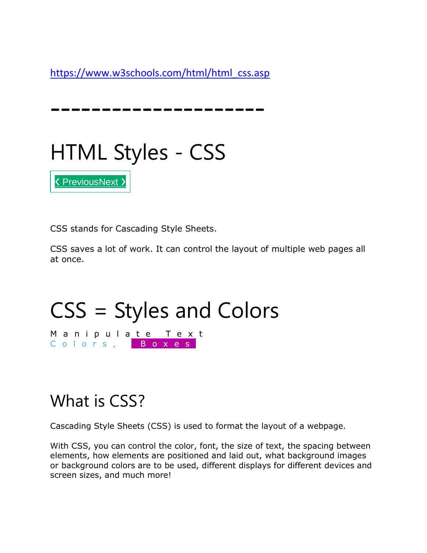[https://www.w3schools.com/html/html\\_css.asp](https://www.w3schools.com/html/html_css.asp)

---------------------



CSS stands for Cascading Style Sheets.

CSS saves a lot of work. It can control the layout of multiple web pages all at once.

# CSS = Styles and Colors

Manipulate Text Colors, Boxes

### What is CSS?

[❮](https://www.w3schools.com/html/html_colors_hsl.asp) [Previous](https://www.w3schools.com/html/html_colors_hsl.asp)[Next](https://www.w3schools.com/html/html_links.asp) [❯](https://www.w3schools.com/html/html_links.asp)

Cascading Style Sheets (CSS) is used to format the layout of a webpage.

With CSS, you can control the color, font, the size of text, the spacing between elements, how elements are positioned and laid out, what background images or background colors are to be used, different displays for different devices and screen sizes, and much more!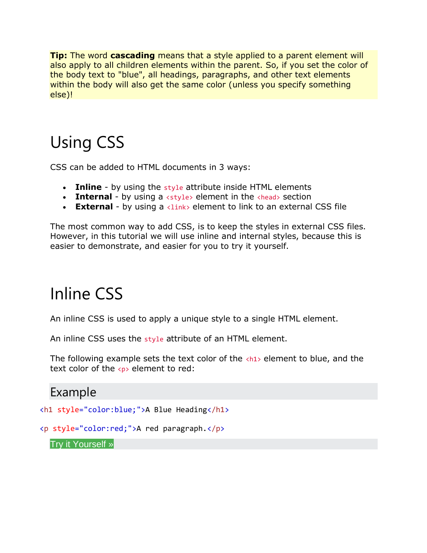**Tip:** The word **cascading** means that a style applied to a parent element will also apply to all children elements within the parent. So, if you set the color of the body text to "blue", all headings, paragraphs, and other text elements within the body will also get the same color (unless you specify something else)!

# Using CSS

CSS can be added to HTML documents in 3 ways:

- **Inline** by using the style attribute inside HTML elements
- **Internal** by using a  $\langle$ style> element in the  $\langle$ head> section
- **External** by using a <link> element to link to an external CSS file

The most common way to add CSS, is to keep the styles in external CSS files. However, in this tutorial we will use inline and internal styles, because this is easier to demonstrate, and easier for you to try it yourself.

### Inline CSS

An inline CSS is used to apply a unique style to a single HTML element.

An inline CSS uses the style attribute of an HTML element.

The following example sets the text color of the  $\langle h1 \rangle$  element to blue, and the text color of the  $\langle p \rangle$  element to red:

#### Example

<h1 style="color:blue;">A Blue Heading</h1>

```
<p style="color:red;">A red paragraph.</p>
```
#### Try it [Yourself](https://www.w3schools.com/html/tryit.asp?filename=tryhtml_css_inline) »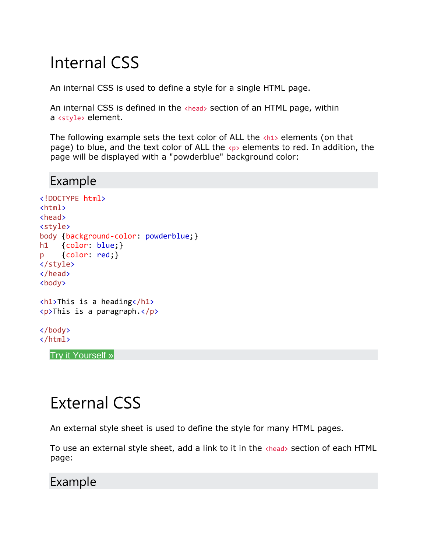### Internal CSS

An internal CSS is used to define a style for a single HTML page.

An internal CSS is defined in the  $\langle$ head> section of an HTML page, within a <style> element.

The following example sets the text color of ALL the  $\langle h1 \rangle$  elements (on that page) to blue, and the text color of ALL the  $\langle p \rangle$  elements to red. In addition, the page will be displayed with a "powderblue" background color:

#### Example

```
<!DOCTYPE html>
<html>
<head>
<style>
body {background-color: powderblue;}
h1 {color: blue;}
p {color: red;}
</style>
</head>
<body>
```

```
<h1>This is a heading</h1>
<p>This is a paragraph.</p>
```

```
</body>
</html>
```
Try it [Yourself](https://www.w3schools.com/html/tryit.asp?filename=tryhtml_css_internal) »

## External CSS

An external style sheet is used to define the style for many HTML pages.

To use an external style sheet, add a link to it in the <head> section of each HTML page:

#### Example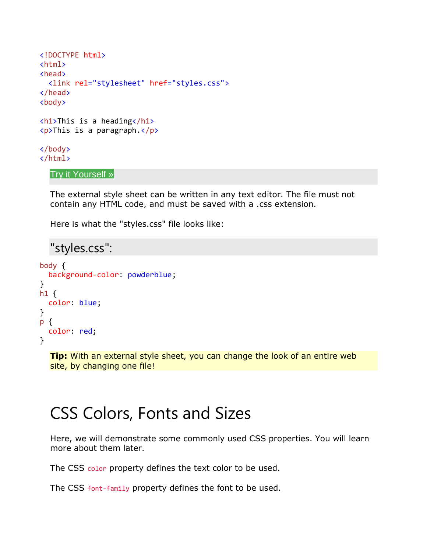```
<!DOCTYPE html>
<html>
<head>
   <link rel="stylesheet" href="styles.css">
</head>
<body>
\langle h1\rangleThis is a heading\langle h1\rangle<p>This is a paragraph.</p>
</body>
```
</html>

#### Try it [Yourself](https://www.w3schools.com/html/tryit.asp?filename=tryhtml_css_external) »

The external style sheet can be written in any text editor. The file must not contain any HTML code, and must be saved with a .css extension.

Here is what the "styles.css" file looks like:

```
"styles.css":
body {
   background-color: powderblue;
}
h1 \{color: blue;
}
p {
   color: red;
}
```
**Tip:** With an external style sheet, you can change the look of an entire web site, by changing one file!

## CSS Colors, Fonts and Sizes

Here, we will demonstrate some commonly used CSS properties. You will learn more about them later.

The CSS color property defines the text color to be used.

The CSS font-family property defines the font to be used.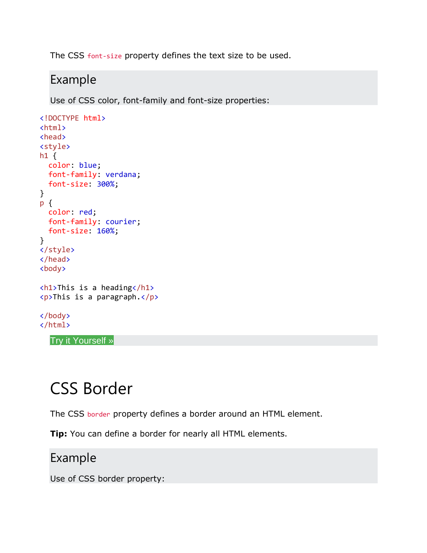The CSS font-size property defines the text size to be used.

### Example

Use of CSS color, font-family and font-size properties:

```
<!DOCTYPE html>
<html>
<head>
<style>
h1 \{ color: blue;
  font-family: verdana;
   font-size: 300%;
}
p {
  color: red;
  font-family: courier;
  font-size: 160%;
}
</style>
</head>
<body>
<h1>This is a heading</h1>
<p>This is a paragraph.</p>
</body>
</html>
```
Try it [Yourself](https://www.w3schools.com/html/tryit.asp?filename=tryhtml_css_fonts) »

### CSS Border

The CSS border property defines a border around an HTML element.

**Tip:** You can define a border for nearly all HTML elements.

#### Example

Use of CSS border property: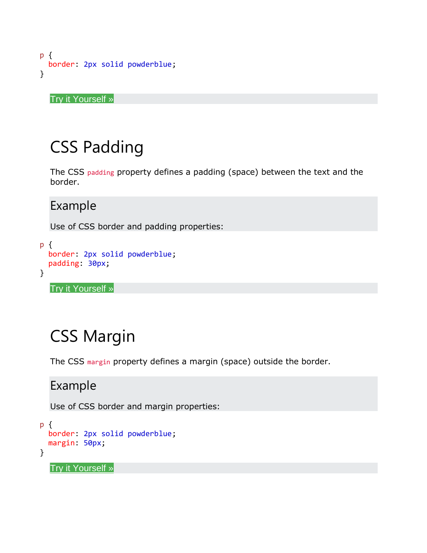```
p {
   border: 2px solid powderblue;
}
```
Try it [Yourself](https://www.w3schools.com/html/tryit.asp?filename=tryhtml_css_borders) »

### CSS Padding

The CSS padding property defines a padding (space) between the text and the border.

#### Example

Use of CSS border and padding properties:

```
p {
  border: 2px solid powderblue;
  padding: 30px;
}
```
Try it [Yourself](https://www.w3schools.com/html/tryit.asp?filename=tryhtml_css_padding) »

### CSS Margin

The CSS margin property defines a margin (space) outside the border.

#### Example

Use of CSS border and margin properties:

```
p {
  border: 2px solid powderblue;
   margin: 50px;
}
```
Try it [Yourself](https://www.w3schools.com/html/tryit.asp?filename=tryhtml_css_margin) »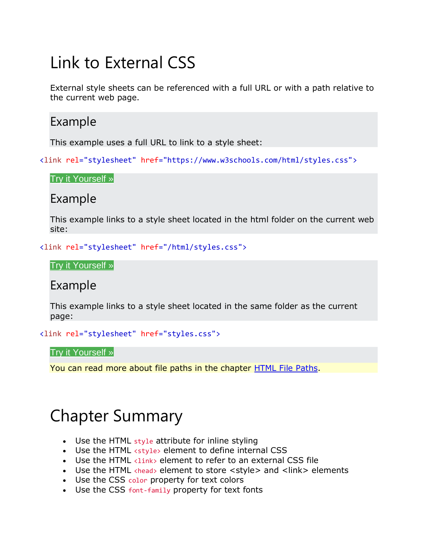## Link to External CSS

External style sheets can be referenced with a full URL or with a path relative to the current web page.

### Example

This example uses a full URL to link to a style sheet:

<link rel="stylesheet" href="https://www.w3schools.com/html/styles.css">

Try it [Yourself](https://www.w3schools.com/html/tryit.asp?filename=tryhtml_css_external_url) »

#### Example

This example links to a style sheet located in the html folder on the current web site:

<link rel="stylesheet" href="/html/styles.css">

Try it [Yourself](https://www.w3schools.com/html/tryit.asp?filename=tryhtml_css_external_relative) »

#### Example

This example links to a style sheet located in the same folder as the current page:

<link rel="stylesheet" href="styles.css">

Try it [Yourself](https://www.w3schools.com/html/tryit.asp?filename=tryhtml_css_external) »

You can read more about file paths in the chapter [HTML File Paths.](https://www.w3schools.com/html/html_filepaths.asp)

### Chapter Summary

- Use the HTML style attribute for inline styling
- Use the HTML <style> element to define internal CSS
- Use the HTML <link> element to refer to an external CSS file
- Use the HTML <head> element to store <style> and <link> elements
- Use the CSS color property for text colors
- Use the CSS font-family property for text fonts